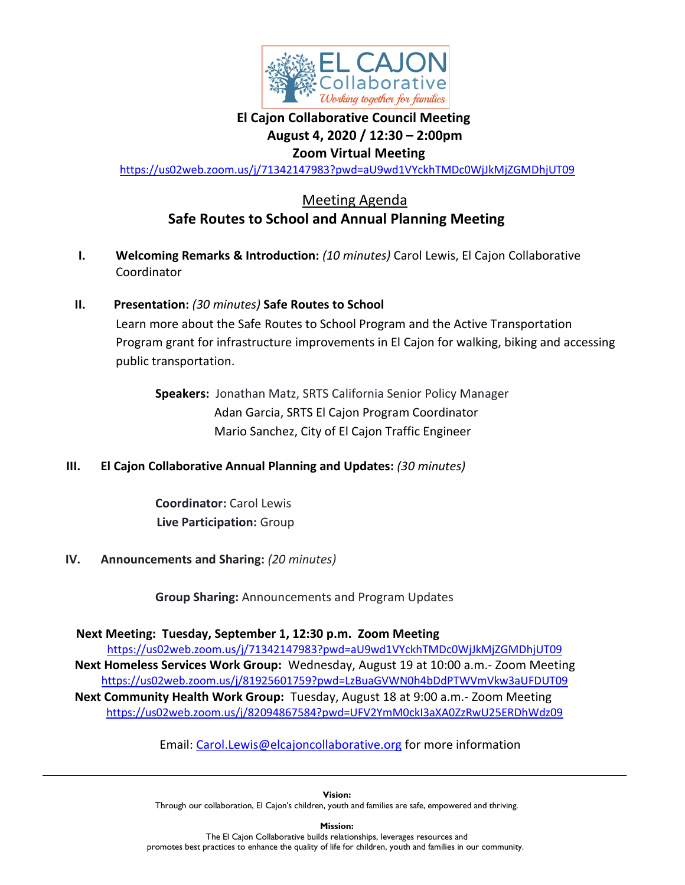

#### **El Cajon Collaborative Council Meeting August 4, 2020 / 12:30 – 2:00pm Zoom Virtual Meeting**

<https://us02web.zoom.us/j/71342147983?pwd=aU9wd1VYckhTMDc0WjJkMjZGMDhjUT09>

### Meeting Agenda **Safe Routes to School and Annual Planning Meeting**

- **I. Welcoming Remarks & Introduction:** *(10 minutes)* Carol Lewis, El Cajon Collaborative Coordinator
- **II. Presentation:** *(30 minutes)* **Safe Routes to School** Learn more about the Safe Routes to School Program and the Active Transportation Program grant for infrastructure improvements in El Cajon for walking, biking and accessing public transportation.

 **Speakers:** Jonathan Matz, SRTS California Senior Policy Manager Adan Garcia, SRTS El Cajon Program Coordinator Mario Sanchez, City of El Cajon Traffic Engineer

**III. El Cajon Collaborative Annual Planning and Updates:** *(30 minutes)*

 **Coordinator:** Carol Lewis **Live Participation:** Group

**IV. Announcements and Sharing:** *(20 minutes)*

 **Group Sharing:** Announcements and Program Updates

 **Next Meeting: Tuesday, September 1, 12:30 p.m. Zoom Meeting**

<https://us02web.zoom.us/j/71342147983?pwd=aU9wd1VYckhTMDc0WjJkMjZGMDhjUT09> **Next Homeless Services Work Group:** Wednesday, August 19 at 10:00 a.m.- Zoom Meeting <https://us02web.zoom.us/j/81925601759?pwd=LzBuaGVWN0h4bDdPTWVmVkw3aUFDUT09> **Next Community Health Work Group:** Tuesday, August 18 at 9:00 a.m.- Zoom Meeting <https://us02web.zoom.us/j/82094867584?pwd=UFV2YmM0ckI3aXA0ZzRwU25ERDhWdz09>

Email: [Carol.Lewis@elcajoncollaborative.org](mailto:carol.lewis@elcajoncollaborative.org) for more information

**Vision:**  Through our collaboration, El Cajon's children, youth and families are safe, empowered and thriving.

**Mission:** The El Cajon Collaborative builds relationships, leverages resources and promotes best practices to enhance the quality of life for children, youth and families in our community.